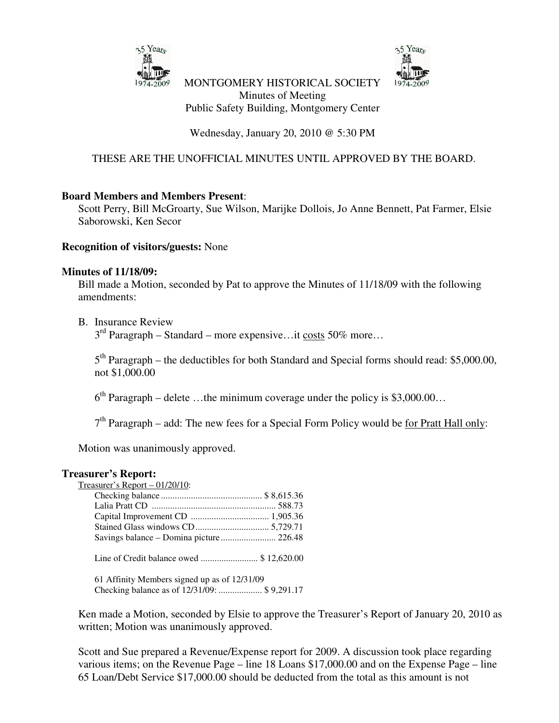



MONTGOMERY HISTORICAL SOCIETY Minutes of Meeting Public Safety Building, Montgomery Center

Wednesday, January 20, 2010 @ 5:30 PM

## THESE ARE THE UNOFFICIAL MINUTES UNTIL APPROVED BY THE BOARD.

#### **Board Members and Members Present**:

Scott Perry, Bill McGroarty, Sue Wilson, Marijke Dollois, Jo Anne Bennett, Pat Farmer, Elsie Saborowski, Ken Secor

#### **Recognition of visitors/guests:** None

#### **Minutes of 11/18/09:**

Bill made a Motion, seconded by Pat to approve the Minutes of 11/18/09 with the following amendments:

#### B. Insurance Review

 $3<sup>rd</sup>$  Paragraph – Standard – more expensive...it costs 50% more...

5<sup>th</sup> Paragraph – the deductibles for both Standard and Special forms should read: \$5,000.00, not \$1,000.00

 $6<sup>th</sup>$  Paragraph – delete ...the minimum coverage under the policy is \$3,000.00...

7<sup>th</sup> Paragraph – add: The new fees for a Special Form Policy would be <u>for Pratt Hall only</u>:

Motion was unanimously approved.

#### **Treasurer's Report:**

| Treasurer's Report $-01/20/10$ :             |  |
|----------------------------------------------|--|
|                                              |  |
|                                              |  |
|                                              |  |
|                                              |  |
|                                              |  |
| Line of Credit balance owed \$ 12,620.00     |  |
| 61 Affinity Members signed up as of 12/31/09 |  |

Checking balance as of 12/31/09: ................... \$ 9,291.17

Ken made a Motion, seconded by Elsie to approve the Treasurer's Report of January 20, 2010 as written; Motion was unanimously approved.

Scott and Sue prepared a Revenue/Expense report for 2009. A discussion took place regarding various items; on the Revenue Page – line 18 Loans \$17,000.00 and on the Expense Page – line 65 Loan/Debt Service \$17,000.00 should be deducted from the total as this amount is not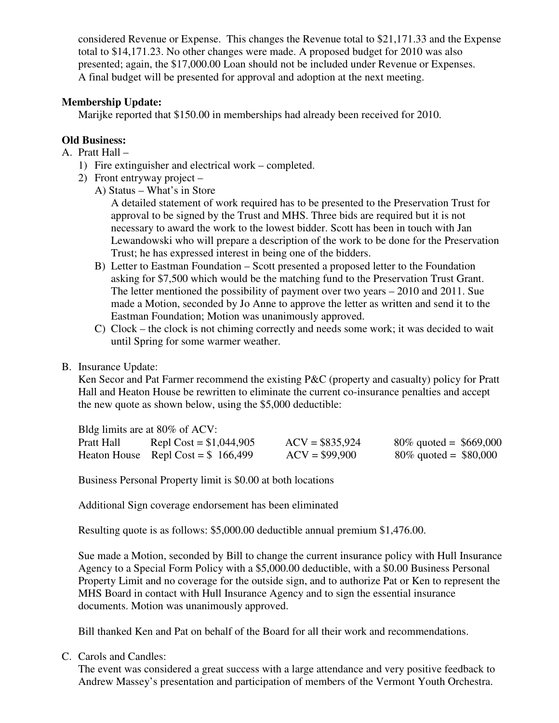considered Revenue or Expense. This changes the Revenue total to \$21,171.33 and the Expense total to \$14,171.23. No other changes were made. A proposed budget for 2010 was also presented; again, the \$17,000.00 Loan should not be included under Revenue or Expenses. A final budget will be presented for approval and adoption at the next meeting.

### **Membership Update:**

Marijke reported that \$150.00 in memberships had already been received for 2010.

# **Old Business:**

- A. Pratt Hall
	- 1) Fire extinguisher and electrical work completed.
	- 2) Front entryway project
		- A) Status What's in Store

A detailed statement of work required has to be presented to the Preservation Trust for approval to be signed by the Trust and MHS. Three bids are required but it is not necessary to award the work to the lowest bidder. Scott has been in touch with Jan Lewandowski who will prepare a description of the work to be done for the Preservation Trust; he has expressed interest in being one of the bidders.

- B) Letter to Eastman Foundation Scott presented a proposed letter to the Foundation asking for \$7,500 which would be the matching fund to the Preservation Trust Grant. The letter mentioned the possibility of payment over two years – 2010 and 2011. Sue made a Motion, seconded by Jo Anne to approve the letter as written and send it to the Eastman Foundation; Motion was unanimously approved.
- C) Clock the clock is not chiming correctly and needs some work; it was decided to wait until Spring for some warmer weather.

### B. Insurance Update:

Ken Secor and Pat Farmer recommend the existing P&C (property and casualty) policy for Pratt Hall and Heaton House be rewritten to eliminate the current co-insurance penalties and accept the new quote as shown below, using the \$5,000 deductible:

|            | Bldg limits are at 80% of ACV:      |                  |                           |
|------------|-------------------------------------|------------------|---------------------------|
| Pratt Hall | Repl Cost = $$1,044,905$            | $ACV = $835,924$ | $80\%$ quoted = \$669,000 |
|            | Heaton House Repl Cost = $$166,499$ | $ACV = $99,900$  | $80\%$ quoted = \$80,000  |

Business Personal Property limit is \$0.00 at both locations

Additional Sign coverage endorsement has been eliminated

Resulting quote is as follows: \$5,000.00 deductible annual premium \$1,476.00.

Sue made a Motion, seconded by Bill to change the current insurance policy with Hull Insurance Agency to a Special Form Policy with a \$5,000.00 deductible, with a \$0.00 Business Personal Property Limit and no coverage for the outside sign, and to authorize Pat or Ken to represent the MHS Board in contact with Hull Insurance Agency and to sign the essential insurance documents. Motion was unanimously approved.

Bill thanked Ken and Pat on behalf of the Board for all their work and recommendations.

C. Carols and Candles:

The event was considered a great success with a large attendance and very positive feedback to Andrew Massey's presentation and participation of members of the Vermont Youth Orchestra.